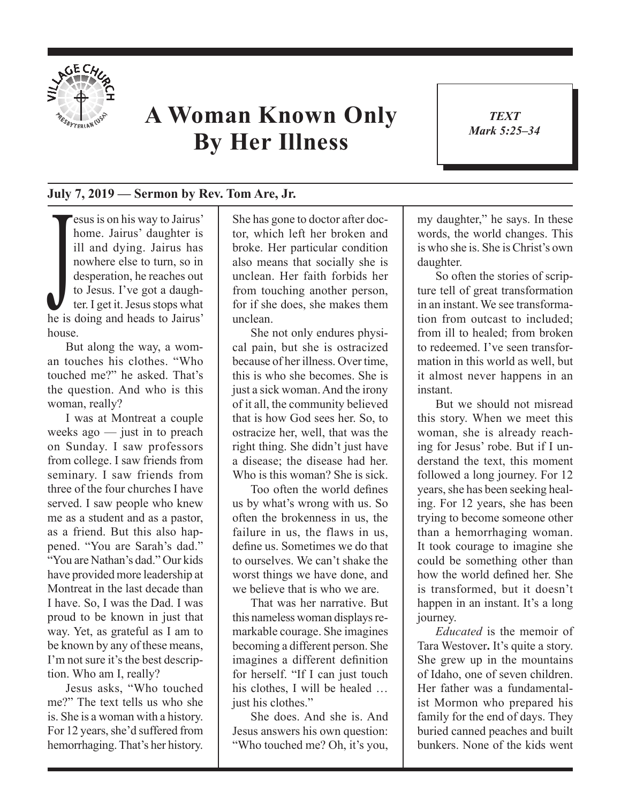

## **A Woman Known Only By Her Illness**

*TEXT Mark 5:25–34* 1

## **July 7, 2019 — Sermon by Rev. Tom Are, Jr.**

nowhere else to turn, so in<br>desperation, he reaches out<br>to Jesus. I've got a daugh-<br>ter. I get it. Jesus stops what<br>he is doing and heads to Jairus' esus is on his way to Jairus' home. Jairus' daughter is ill and dying. Jairus has nowhere else to turn, so in desperation, he reaches out to Jesus. I've got a daughter. I get it. Jesus stops what house.

But along the way, a woman touches his clothes. "Who touched me?" he asked. That's the question. And who is this woman, really?

I was at Montreat a couple weeks ago — just in to preach on Sunday. I saw professors from college. I saw friends from seminary. I saw friends from three of the four churches I have served. I saw people who knew me as a student and as a pastor, as a friend. But this also happened. "You are Sarah's dad." "You are Nathan's dad." Our kids have provided more leadership at Montreat in the last decade than I have. So, I was the Dad. I was proud to be known in just that way. Yet, as grateful as I am to be known by any of these means, I'm not sure it's the best description. Who am I, really?

Jesus asks, "Who touched me?" The text tells us who she is. She is a woman with a history. For 12 years, she'd suffered from hemorrhaging. That's her history. She has gone to doctor after doctor, which left her broken and broke. Her particular condition also means that socially she is unclean. Her faith forbids her from touching another person, for if she does, she makes them unclean.

She not only endures physical pain, but she is ostracized because of her illness. Over time, this is who she becomes. She is just a sick woman. And the irony of it all, the community believed that is how God sees her. So, to ostracize her, well, that was the right thing. She didn't just have a disease; the disease had her. Who is this woman? She is sick.

Too often the world defines us by what's wrong with us. So often the brokenness in us, the failure in us, the flaws in us, define us. Sometimes we do that to ourselves. We can't shake the worst things we have done, and we believe that is who we are.

That was her narrative. But this nameless woman displays remarkable courage. She imagines becoming a different person. She imagines a different definition for herself. "If I can just touch his clothes. I will be healed ... just his clothes."

She does. And she is. And Jesus answers his own question: "Who touched me? Oh, it's you, my daughter," he says. In these words, the world changes. This is who she is. She is Christ's own daughter.

So often the stories of scripture tell of great transformation in an instant. We see transformation from outcast to included; from ill to healed; from broken to redeemed. I've seen transformation in this world as well, but it almost never happens in an instant.

But we should not misread this story. When we meet this woman, she is already reaching for Jesus' robe. But if I understand the text, this moment followed a long journey. For 12 years, she has been seeking healing. For 12 years, she has been trying to become someone other than a hemorrhaging woman. It took courage to imagine she could be something other than how the world defined her. She is transformed, but it doesn't happen in an instant. It's a long journey.

*Educated* is the memoir of Tara Westover**.** It's quite a story. She grew up in the mountains of Idaho, one of seven children. Her father was a fundamentalist Mormon who prepared his family for the end of days. They buried canned peaches and built bunkers. None of the kids went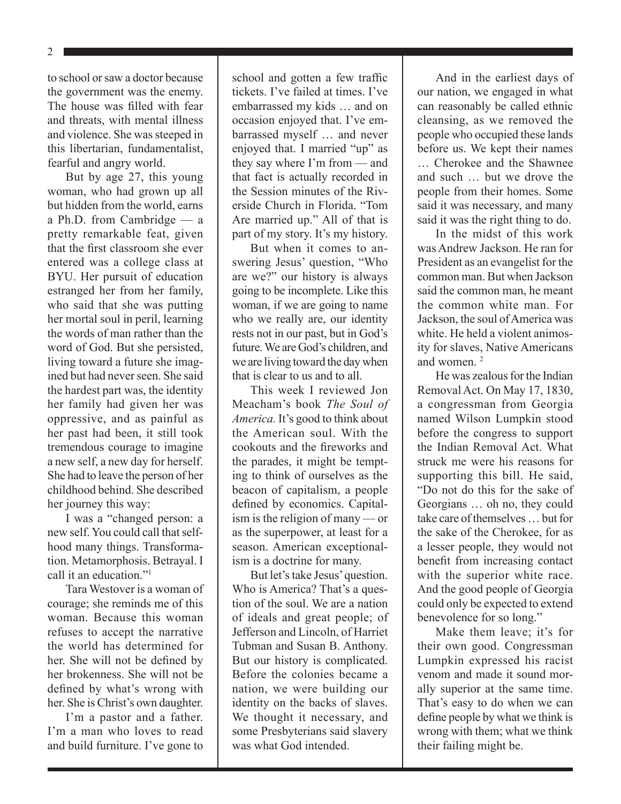2

to school or saw a doctor because the government was the enemy. The house was filled with fear and threats, with mental illness and violence. She was steeped in this libertarian, fundamentalist, fearful and angry world.

But by age 27, this young woman, who had grown up all but hidden from the world, earns a Ph.D. from Cambridge — a pretty remarkable feat, given that the first classroom she ever entered was a college class at BYU. Her pursuit of education estranged her from her family, who said that she was putting her mortal soul in peril, learning the words of man rather than the word of God. But she persisted, living toward a future she imagined but had never seen. She said the hardest part was, the identity her family had given her was oppressive, and as painful as her past had been, it still took tremendous courage to imagine a new self, a new day for herself. She had to leave the person of her childhood behind. She described her journey this way:

I was a "changed person: a new self. You could call that selfhood many things. Transformation. Metamorphosis. Betrayal. I call it an education<sup>"1</sup>

Tara Westover is a woman of courage; she reminds me of this woman. Because this woman refuses to accept the narrative the world has determined for her. She will not be defined by her brokenness. She will not be defined by what's wrong with her. She is Christ's own daughter.

I'm a pastor and a father. I'm a man who loves to read and build furniture. I've gone to

school and gotten a few traffic tickets. I've failed at times. I've embarrassed my kids … and on occasion enjoyed that. I've embarrassed myself … and never enjoyed that. I married "up" as they say where I'm from — and that fact is actually recorded in the Session minutes of the Riverside Church in Florida. "Tom Are married up." All of that is part of my story. It's my history.

But when it comes to answering Jesus' question, "Who are we?" our history is always going to be incomplete. Like this woman, if we are going to name who we really are, our identity rests not in our past, but in God's future. We are God's children, and we are living toward the day when that is clear to us and to all.

This week I reviewed Jon Meacham's book *The Soul of America.* It's good to think about the American soul. With the cookouts and the fireworks and the parades, it might be tempting to think of ourselves as the beacon of capitalism, a people defined by economics. Capitalism is the religion of many — or as the superpower, at least for a season. American exceptionalism is a doctrine for many.

But let's take Jesus' question. Who is America? That's a question of the soul. We are a nation of ideals and great people; of Jefferson and Lincoln, of Harriet Tubman and Susan B. Anthony. But our history is complicated. Before the colonies became a nation, we were building our identity on the backs of slaves. We thought it necessary, and some Presbyterians said slavery was what God intended.

And in the earliest days of our nation, we engaged in what can reasonably be called ethnic cleansing, as we removed the people who occupied these lands before us. We kept their names … Cherokee and the Shawnee and such … but we drove the people from their homes. Some said it was necessary, and many said it was the right thing to do.

In the midst of this work was Andrew Jackson. He ran for President as an evangelist for the common man. But when Jackson said the common man, he meant the common white man. For Jackson, the soul of America was white. He held a violent animosity for slaves, Native Americans and women $^2$ 

He was zealous for the Indian Removal Act. On May 17, 1830, a congressman from Georgia named Wilson Lumpkin stood before the congress to support the Indian Removal Act. What struck me were his reasons for supporting this bill. He said, "Do not do this for the sake of Georgians … oh no, they could take care of themselves … but for the sake of the Cherokee, for as a lesser people, they would not benefit from increasing contact with the superior white race. And the good people of Georgia could only be expected to extend benevolence for so long."

Make them leave; it's for their own good. Congressman Lumpkin expressed his racist venom and made it sound morally superior at the same time. That's easy to do when we can define people by what we think is wrong with them; what we think their failing might be.